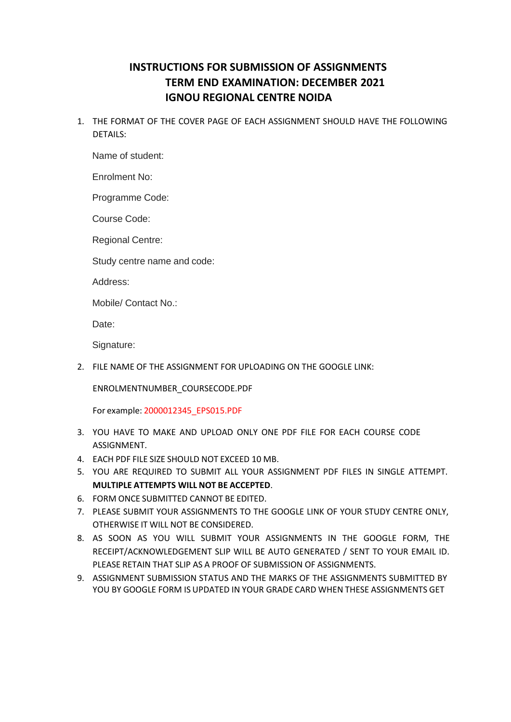## **INSTRUCTIONS FOR SUBMISSION OF ASSIGNMENTS TERM END EXAMINATION: DECEMBER 2021 IGNOU REGIONAL CENTRE NOIDA**

1. THE FORMAT OF THE COVER PAGE OF EACH ASSIGNMENT SHOULD HAVE THE FOLLOWING DETAILS:

Name of student:

Enrolment No:

Programme Code:

Course Code:

Regional Centre:

Study centre name and code:

Address:

Mobile/ Contact No.:

Date:

Signature:

2. FILE NAME OF THE ASSIGNMENT FOR UPLOADING ON THE GOOGLE LINK:

ENROLMENTNUMBER\_COURSECODE.PDF

For example: 2000012345\_EPS015.PDF

- 3. YOU HAVE TO MAKE AND UPLOAD ONLY ONE PDF FILE FOR EACH COURSE CODE ASSIGNMENT.
- 4. EACH PDF FILE SIZE SHOULD NOT EXCEED 10 MB.
- 5. YOU ARE REQUIRED TO SUBMIT ALL YOUR ASSIGNMENT PDF FILES IN SINGLE ATTEMPT. **MULTIPLE ATTEMPTS WILL NOT BE ACCEPTED**.
- 6. FORM ONCE SUBMITTED CANNOT BE EDITED.
- 7. PLEASE SUBMIT YOUR ASSIGNMENTS TO THE GOOGLE LINK OF YOUR STUDY CENTRE ONLY, OTHERWISE IT WILL NOT BE CONSIDERED.
- 8. AS SOON AS YOU WILL SUBMIT YOUR ASSIGNMENTS IN THE GOOGLE FORM, THE RECEIPT/ACKNOWLEDGEMENT SLIP WILL BE AUTO GENERATED / SENT TO YOUR EMAIL ID. PLEASE RETAIN THAT SLIP AS A PROOF OF SUBMISSION OF ASSIGNMENTS.
- 9. ASSIGNMENT SUBMISSION STATUS AND THE MARKS OF THE ASSIGNMENTS SUBMITTED BY YOU BY GOOGLE FORM IS UPDATED IN YOUR GRADE CARD WHEN THESE ASSIGNMENTS GET